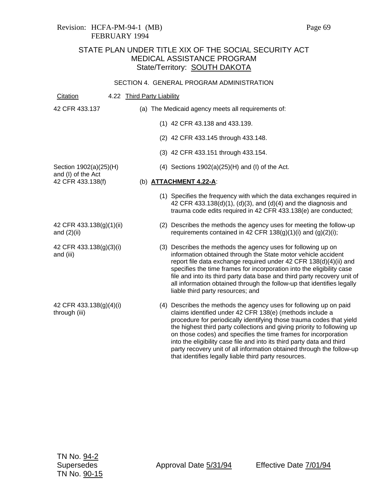## Revision: HCFA-PM-94-1 (MB) Page 69 FEBRUARY 1994

# STATE PLAN UNDER TITLE XIX OF THE SOCIAL SECURITY ACT MEDICAL ASSISTANCE PROGRAM State/Territory: **SOUTH DAKOTA**

#### SECTION 4. GENERAL PROGRAM ADMINISTRATION

Citation 4.22 Third Party Liability 42 CFR 433.137 Section 1902(a)(25)(H) and (I) of the Act 42 CFR 433.138(f) 42 CFR 433.138(g)(1)(ii) and (2)(ii) 42 CFR 433.138(g)(3)(i) and (iii) 42 CFR 433.138(g)(4)(i) through (iii) (a) The Medicaid agency meets all requirements of: (1) 42 CFR 43.138 and 433.139. (2) 42 CFR 433.145 through 433.148. (3) 42 CFR 433.151 through 433.154. (4) Sections 1902(a)(25)(H) and (I) of the Act. (b) **ATTACHMENT 4.22-A**: (1) Specifies the frequency with which the data exchanges required in 42 CFR 433.138(d)(1), (d)(3), and (d)(4) and the diagnosis and trauma code edits required in 42 CFR 433.138(e) are conducted; (2) Describes the methods the agency uses for meeting the follow-up requirements contained in 42 CFR  $138(g)(1)(i)$  and  $(g)(2)(i)$ ; (3) Describes the methods the agency uses for following up on information obtained through the State motor vehicle accident report file data exchange required under 42 CFR 138(d)(4)(ii) and specifies the time frames for incorporation into the eligibility case file and into its third party data base and third party recovery unit of all information obtained through the follow-up that identifies legally liable third party resources; and (4) Describes the methods the agency uses for following up on paid claims identified under 42 CFR 138(e) (methods include a procedure for periodically identifying those trauma codes that yield the highest third party collections and giving priority to following up on those codes) and specifies the time frames for incorporation into the eligibility case file and into its third party data and third party recovery unit of all information obtained through the follow-up that identifies legally liable third party resources.

Supersedes Approval Date 5/31/94 Effective Date 7/01/94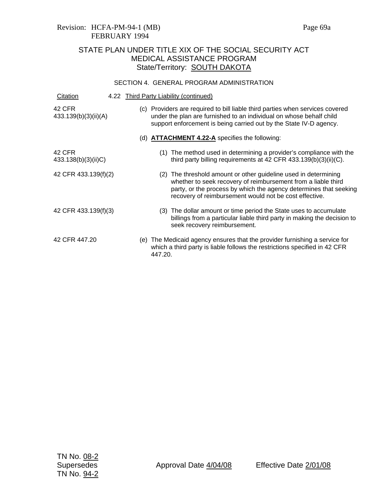# STATE PLAN UNDER TITLE XIX OF THE SOCIAL SECURITY ACT MEDICAL ASSISTANCE PROGRAM State/Territory: **SOUTH DAKOTA**

### SECTION 4. GENERAL PROGRAM ADMINISTRATION

| Citation                       |  |         | 4.22 Third Party Liability (continued)                                                                                                                                                                                                                          |
|--------------------------------|--|---------|-----------------------------------------------------------------------------------------------------------------------------------------------------------------------------------------------------------------------------------------------------------------|
| 42 CFR<br>433.139(b)(3)(ii)(A) |  |         | (c) Providers are required to bill liable third parties when services covered<br>under the plan are furnished to an individual on whose behalf child<br>support enforcement is being carried out by the State IV-D agency.                                      |
|                                |  |         | (d) <b>ATTACHMENT 4.22-A</b> specifies the following:                                                                                                                                                                                                           |
| 42 CFR<br>433.138(b)(3)(ii)C)  |  | (1)     | The method used in determining a provider's compliance with the<br>third party billing requirements at 42 CFR $433.139(b)(3)(ii)(C)$ .                                                                                                                          |
| 42 CFR 433.139(f)(2)           |  |         | (2) The threshold amount or other guideline used in determining<br>whether to seek recovery of reimbursement from a liable third<br>party, or the process by which the agency determines that seeking<br>recovery of reimbursement would not be cost effective. |
| 42 CFR 433.139(f)(3)           |  |         | (3) The dollar amount or time period the State uses to accumulate<br>billings from a particular liable third party in making the decision to<br>seek recovery reimbursement.                                                                                    |
| 42 CFR 447.20                  |  | 447.20. | (e) The Medicaid agency ensures that the provider furnishing a service for<br>which a third party is liable follows the restrictions specified in 42 CFR                                                                                                        |